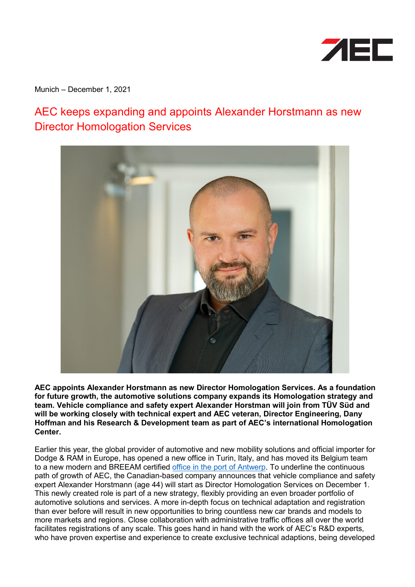

Munich – December 1, 2021

## AEC keeps expanding and appoints Alexander Horstmann as new Director Homologation Services



**AEC appoints Alexander Horstmann as new Director Homologation Services. As a foundation for future growth, the automotive solutions company expands its Homologation strategy and team. Vehicle compliance and safety expert Alexander Horstman will join from TÜV Süd and will be working closely with technical expert and AEC veteran, Director Engineering, Dany Hoffman and his Research & Development team as part of AEC's international Homologation Center.** 

Earlier this year, the global provider of automotive and new mobility solutions and official importer for Dodge & RAM in Europe, has opened a new office in Turin, Italy, and has moved its Belgium team to a new modern and BREEAM certified [office in the port of Antwerp.](https://presse.aeceurope.com/en/aec-keeps-growing-and-moves-into-new-climate-neutral-office-near-antwerp-belgium/) To underline the continuous path of growth of AEC, the Canadian-based company announces that vehicle compliance and safety expert Alexander Horstmann (age 44) will start as Director Homologation Services on December 1. This newly created role is part of a new strategy, flexibly providing an even broader portfolio of automotive solutions and services. A more in-depth focus on technical adaptation and registration than ever before will result in new opportunities to bring countless new car brands and models to more markets and regions. Close collaboration with administrative traffic offices all over the world facilitates registrations of any scale. This goes hand in hand with the work of AEC's R&D experts, who have proven expertise and experience to create exclusive technical adaptions, being developed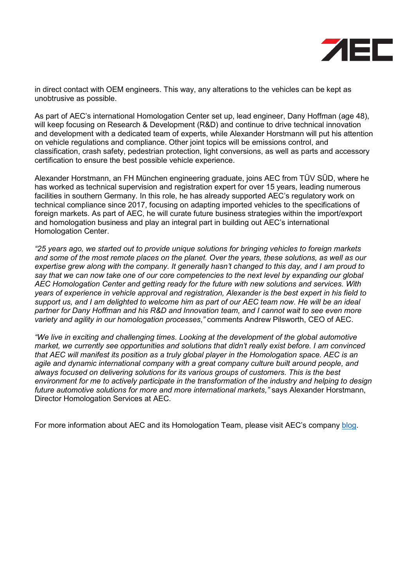

in direct contact with OEM engineers. This way, any alterations to the vehicles can be kept as unobtrusive as possible.

As part of AEC's international Homologation Center set up, lead engineer, Dany Hoffman (age 48), will keep focusing on Research & Development (R&D) and continue to drive technical innovation and development with a dedicated team of experts, while Alexander Horstmann will put his attention on vehicle regulations and compliance. Other joint topics will be emissions control, and classification, crash safety, pedestrian protection, light conversions, as well as parts and accessory certification to ensure the best possible vehicle experience.

Alexander Horstmann, an FH München engineering graduate, joins AEC from TÜV SÜD, where he has worked as technical supervision and registration expert for over 15 years, leading numerous facilities in southern Germany. In this role, he has already supported AEC's regulatory work on technical compliance since 2017, focusing on adapting imported vehicles to the specifications of foreign markets. As part of AEC, he will curate future business strategies within the import/export and homologation business and play an integral part in building out AEC's international Homologation Center.

*"25 years ago, we started out to provide unique solutions for bringing vehicles to foreign markets and some of the most remote places on the planet. Over the years, these solutions, as well as our expertise grew along with the company. It generally hasn't changed to this day, and I am proud to say that we can now take one of our core competencies to the next level by expanding our global AEC Homologation Center and getting ready for the future with new solutions and services. With years of experience in vehicle approval and registration, Alexander is the best expert in his field to support us, and I am delighted to welcome him as part of our AEC team now. He will be an ideal partner for Dany Hoffman and his R&D and Innovation team, and I cannot wait to see even more variety and agility in our homologation processes*,*"* comments Andrew Pilsworth, CEO of AEC.

*"We live in exciting and challenging times. Looking at the development of the global automotive market, we currently see opportunities and solutions that didn't really exist before. I am convinced that AEC will manifest its position as a truly global player in the Homologation space. AEC is an agile and dynamic international company with a great company culture built around people, and always focused on delivering solutions for its various groups of customers. This is the best environment for me to actively participate in the transformation of the industry and helping to design future automotive solutions for more and more international markets,"* says Alexander Horstmann, Director Homologation Services at AEC.

For more information about AEC and its Homologation Team, please visit AEC's company [blog.](https://blog.aecsolutions.com/what-makes-homologation-so-important/)